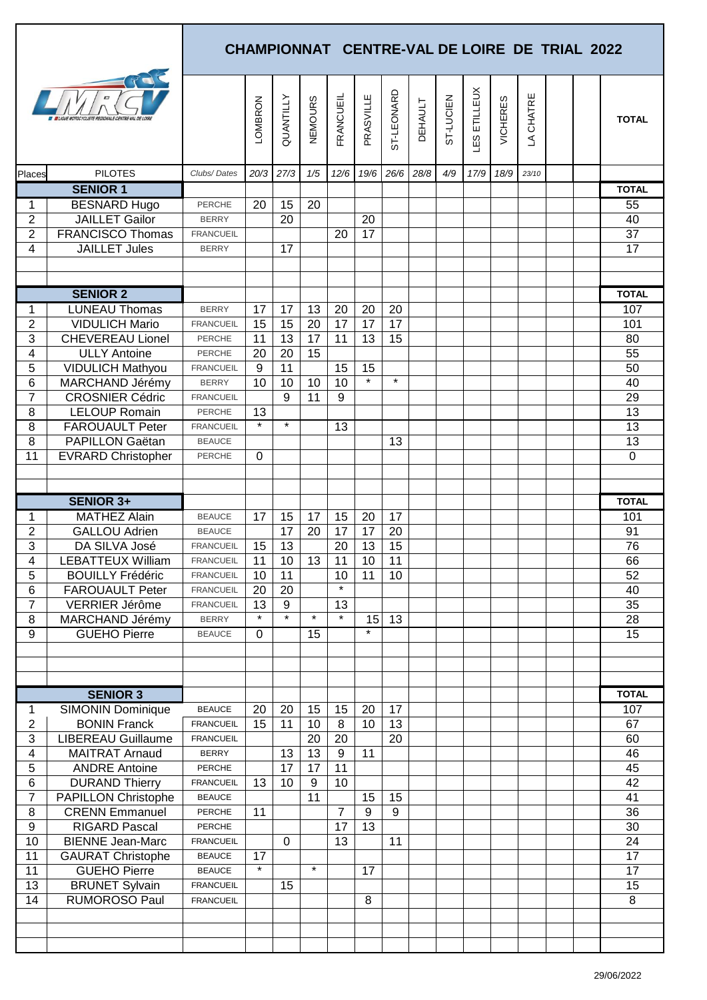| ETILLEUX<br>ST-LEONARD<br><b>FRANCUEIL</b><br>CHATRE<br><b>QUANTILLY</b><br>PRASVILLE<br>ST-LUCIEN<br>LOMBRON<br><b>NEMOURS</b><br><b>VICHERES</b><br><b>DEHAULT</b><br><b>TOTAL</b><br><b>LES</b><br>$\Delta$<br><b>PILOTES</b><br>12/6<br>19/6<br>26/6<br>28/8<br>20/3<br>27/3<br>1/5<br>4/9<br>17/9<br>18/9<br>23/10<br>Clubs/Dates<br>Places<br><b>SENIOR 1</b><br><b>TOTAL</b><br><b>BESNARD Hugo</b><br>20<br>15<br>20<br>55<br>1<br><b>PERCHE</b><br><b>JAILLET Gailor</b><br>$\overline{2}$<br>40<br>20<br>20<br><b>BERRY</b><br>$\overline{2}$<br>37<br>17<br><b>FRANCISCO Thomas</b><br>20<br><b>FRANCUEIL</b><br>17<br>4<br><b>JAILLET Jules</b><br>17<br><b>BERRY</b><br><b>SENIOR 2</b><br><b>TOTAL</b><br><b>LUNEAU Thomas</b><br>17<br>17<br>13<br>20<br>20<br>20<br>107<br><b>BERRY</b><br>1<br>$\overline{2}$<br><b>VIDULICH Mario</b><br>15<br>20<br>17<br>17<br>17<br>15<br>101<br><b>FRANCUEIL</b><br>3<br><b>CHEVEREAU Lionel</b><br>13<br>17<br>11<br>13<br>15<br>80<br>11<br><b>PERCHE</b><br>55<br>4<br><b>ULLY Antoine</b><br>20<br>20<br>15<br>PERCHE<br><b>VIDULICH Mathyou</b><br>9<br>11<br>15<br>15<br>50<br>5<br><b>FRANCUEIL</b><br>$\star$<br>$\star$<br>6<br>MARCHAND Jérémy<br>10<br>40<br>10<br>10<br>10<br><b>BERRY</b><br>$\overline{7}$<br>9<br>29<br><b>CROSNIER Cédric</b><br>11<br>9<br><b>FRANCUEIL</b><br>13<br><b>LELOUP Romain</b><br>8<br>13<br><b>PERCHE</b><br>$\star$<br>$\star$<br>13<br>8<br><b>FAROUAULT Peter</b><br>13<br><b>FRANCUEIL</b><br>$\overline{13}$<br>8<br>PAPILLON Gaëtan<br>13<br><b>BEAUCE</b><br>11<br>$\overline{0}$<br><b>EVRARD Christopher</b><br>PERCHE<br>0<br><b>SENIOR 3+</b><br><b>TOTAL</b><br><b>MATHEZ Alain</b><br>15<br>17<br>17<br>15<br>17<br>20<br>101<br><b>BEAUCE</b><br>1<br>$\overline{c}$<br>17<br>20<br>91<br><b>GALLOU Adrien</b><br>17<br>20<br>17<br><b>BEAUCE</b><br>15<br>3<br>13<br>DA SILVA José<br>15<br>13<br>20<br>76<br><b>FRANCUEIL</b><br>$\overline{11}$<br>10<br>66<br>10<br>13<br>11<br>11<br>4<br><b>LEBATTEUX William</b><br><b>FRANCUEIL</b><br>11<br>10<br>52<br>5<br>10<br><b>BOUILLY Frédéric</b><br><b>FRANCUEIL</b><br>10<br>11<br>$\star$<br>6<br>40<br><b>FAROUAULT Peter</b><br>20<br>20<br><b>FRANCUEIL</b><br>35<br>$\overline{7}$<br>13<br>VERRIER Jérôme<br>9<br>13<br><b>FRANCUEIL</b><br>$\star$<br>$\star$<br>$\star$<br>$\star$<br>15<br>13<br>28<br>$\,8\,$<br>MARCHAND Jérémy<br><b>BERRY</b><br>$\star$<br>9<br>15<br><b>GUEHO Pierre</b><br><b>BEAUCE</b><br>$\mathbf 0$<br>15<br><b>TOTAL</b><br><b>SENIOR 3</b><br><b>SIMONIN Dominique</b><br>20<br>15<br>15<br>20<br>17<br>107<br><b>BEAUCE</b><br>20<br>1<br>15<br>10<br>13<br>67<br>2<br><b>BONIN Franck</b><br><b>FRANCUEIL</b><br>11<br>10<br>8<br>3<br>60<br><b>LIBEREAU Guillaume</b><br>20<br>20<br>20<br><b>FRANCUEIL</b><br>4<br>13<br>13<br>11<br>46<br><b>MAITRAT Arnaud</b><br>9<br><b>BERRY</b><br>5<br>17<br>17<br>11<br>45<br><b>ANDRE Antoine</b><br>PERCHE<br>6<br>9<br>42<br><b>DURAND Thierry</b><br>13<br>10<br>10<br><b>FRANCUEIL</b><br>$\overline{7}$<br>41<br>11<br>15<br>15<br><b>PAPILLON Christophe</b><br><b>BEAUCE</b><br>36<br>9<br>9<br>8<br><b>CRENN Emmanuel</b><br>11<br>7<br>PERCHE<br>13<br>30<br>9<br>17<br><b>RIGARD Pascal</b><br>PERCHE<br>10<br>24<br><b>BIENNE Jean-Marc</b><br>$\mathbf 0$<br>13<br>11<br><b>FRANCUEIL</b><br>17<br>11<br><b>GAURAT Christophe</b><br><b>BEAUCE</b><br>17<br>$\star$<br>$\star$<br>11<br><b>GUEHO Pierre</b><br>17<br><b>BEAUCE</b><br>17<br>13<br>15<br><b>BRUNET Sylvain</b><br><b>FRANCUEIL</b><br>15<br>14<br><b>RUMOROSO Paul</b><br>8<br><b>FRANCUEIL</b><br>8 |  |  |  |  |  |  |  |  | <b>CHAMPIONNAT CENTRE-VAL DE LOIRE DE TRIAL 2022</b> |  |  |  |  |  |  |  |  |
|-----------------------------------------------------------------------------------------------------------------------------------------------------------------------------------------------------------------------------------------------------------------------------------------------------------------------------------------------------------------------------------------------------------------------------------------------------------------------------------------------------------------------------------------------------------------------------------------------------------------------------------------------------------------------------------------------------------------------------------------------------------------------------------------------------------------------------------------------------------------------------------------------------------------------------------------------------------------------------------------------------------------------------------------------------------------------------------------------------------------------------------------------------------------------------------------------------------------------------------------------------------------------------------------------------------------------------------------------------------------------------------------------------------------------------------------------------------------------------------------------------------------------------------------------------------------------------------------------------------------------------------------------------------------------------------------------------------------------------------------------------------------------------------------------------------------------------------------------------------------------------------------------------------------------------------------------------------------------------------------------------------------------------------------------------------------------------------------------------------------------------------------------------------------------------------------------------------------------------------------------------------------------------------------------------------------------------------------------------------------------------------------------------------------------------------------------------------------------------------------------------------------------------------------------------------------------------------------------------------------------------------------------------------------------------------------------------------------------------------------------------------------------------------------------------------------------------------------------------------------------------------------------------------------------------------------------------------------------------------------------------------------------------------------------------------------------------------------------------------------------------------------------------------------------------------------------------------------------------------------------------------------------------------------------------------------------------------------------------------------------------------------------------------------------------------------------------------------------------------------------------------------------------------------------------------------------------------------------------------------------------------------|--|--|--|--|--|--|--|--|------------------------------------------------------|--|--|--|--|--|--|--|--|
|                                                                                                                                                                                                                                                                                                                                                                                                                                                                                                                                                                                                                                                                                                                                                                                                                                                                                                                                                                                                                                                                                                                                                                                                                                                                                                                                                                                                                                                                                                                                                                                                                                                                                                                                                                                                                                                                                                                                                                                                                                                                                                                                                                                                                                                                                                                                                                                                                                                                                                                                                                                                                                                                                                                                                                                                                                                                                                                                                                                                                                                                                                                                                                                                                                                                                                                                                                                                                                                                                                                                                                                                                                         |  |  |  |  |  |  |  |  |                                                      |  |  |  |  |  |  |  |  |
|                                                                                                                                                                                                                                                                                                                                                                                                                                                                                                                                                                                                                                                                                                                                                                                                                                                                                                                                                                                                                                                                                                                                                                                                                                                                                                                                                                                                                                                                                                                                                                                                                                                                                                                                                                                                                                                                                                                                                                                                                                                                                                                                                                                                                                                                                                                                                                                                                                                                                                                                                                                                                                                                                                                                                                                                                                                                                                                                                                                                                                                                                                                                                                                                                                                                                                                                                                                                                                                                                                                                                                                                                                         |  |  |  |  |  |  |  |  |                                                      |  |  |  |  |  |  |  |  |
|                                                                                                                                                                                                                                                                                                                                                                                                                                                                                                                                                                                                                                                                                                                                                                                                                                                                                                                                                                                                                                                                                                                                                                                                                                                                                                                                                                                                                                                                                                                                                                                                                                                                                                                                                                                                                                                                                                                                                                                                                                                                                                                                                                                                                                                                                                                                                                                                                                                                                                                                                                                                                                                                                                                                                                                                                                                                                                                                                                                                                                                                                                                                                                                                                                                                                                                                                                                                                                                                                                                                                                                                                                         |  |  |  |  |  |  |  |  |                                                      |  |  |  |  |  |  |  |  |
|                                                                                                                                                                                                                                                                                                                                                                                                                                                                                                                                                                                                                                                                                                                                                                                                                                                                                                                                                                                                                                                                                                                                                                                                                                                                                                                                                                                                                                                                                                                                                                                                                                                                                                                                                                                                                                                                                                                                                                                                                                                                                                                                                                                                                                                                                                                                                                                                                                                                                                                                                                                                                                                                                                                                                                                                                                                                                                                                                                                                                                                                                                                                                                                                                                                                                                                                                                                                                                                                                                                                                                                                                                         |  |  |  |  |  |  |  |  |                                                      |  |  |  |  |  |  |  |  |
|                                                                                                                                                                                                                                                                                                                                                                                                                                                                                                                                                                                                                                                                                                                                                                                                                                                                                                                                                                                                                                                                                                                                                                                                                                                                                                                                                                                                                                                                                                                                                                                                                                                                                                                                                                                                                                                                                                                                                                                                                                                                                                                                                                                                                                                                                                                                                                                                                                                                                                                                                                                                                                                                                                                                                                                                                                                                                                                                                                                                                                                                                                                                                                                                                                                                                                                                                                                                                                                                                                                                                                                                                                         |  |  |  |  |  |  |  |  |                                                      |  |  |  |  |  |  |  |  |
|                                                                                                                                                                                                                                                                                                                                                                                                                                                                                                                                                                                                                                                                                                                                                                                                                                                                                                                                                                                                                                                                                                                                                                                                                                                                                                                                                                                                                                                                                                                                                                                                                                                                                                                                                                                                                                                                                                                                                                                                                                                                                                                                                                                                                                                                                                                                                                                                                                                                                                                                                                                                                                                                                                                                                                                                                                                                                                                                                                                                                                                                                                                                                                                                                                                                                                                                                                                                                                                                                                                                                                                                                                         |  |  |  |  |  |  |  |  |                                                      |  |  |  |  |  |  |  |  |
|                                                                                                                                                                                                                                                                                                                                                                                                                                                                                                                                                                                                                                                                                                                                                                                                                                                                                                                                                                                                                                                                                                                                                                                                                                                                                                                                                                                                                                                                                                                                                                                                                                                                                                                                                                                                                                                                                                                                                                                                                                                                                                                                                                                                                                                                                                                                                                                                                                                                                                                                                                                                                                                                                                                                                                                                                                                                                                                                                                                                                                                                                                                                                                                                                                                                                                                                                                                                                                                                                                                                                                                                                                         |  |  |  |  |  |  |  |  |                                                      |  |  |  |  |  |  |  |  |
|                                                                                                                                                                                                                                                                                                                                                                                                                                                                                                                                                                                                                                                                                                                                                                                                                                                                                                                                                                                                                                                                                                                                                                                                                                                                                                                                                                                                                                                                                                                                                                                                                                                                                                                                                                                                                                                                                                                                                                                                                                                                                                                                                                                                                                                                                                                                                                                                                                                                                                                                                                                                                                                                                                                                                                                                                                                                                                                                                                                                                                                                                                                                                                                                                                                                                                                                                                                                                                                                                                                                                                                                                                         |  |  |  |  |  |  |  |  |                                                      |  |  |  |  |  |  |  |  |
|                                                                                                                                                                                                                                                                                                                                                                                                                                                                                                                                                                                                                                                                                                                                                                                                                                                                                                                                                                                                                                                                                                                                                                                                                                                                                                                                                                                                                                                                                                                                                                                                                                                                                                                                                                                                                                                                                                                                                                                                                                                                                                                                                                                                                                                                                                                                                                                                                                                                                                                                                                                                                                                                                                                                                                                                                                                                                                                                                                                                                                                                                                                                                                                                                                                                                                                                                                                                                                                                                                                                                                                                                                         |  |  |  |  |  |  |  |  |                                                      |  |  |  |  |  |  |  |  |
|                                                                                                                                                                                                                                                                                                                                                                                                                                                                                                                                                                                                                                                                                                                                                                                                                                                                                                                                                                                                                                                                                                                                                                                                                                                                                                                                                                                                                                                                                                                                                                                                                                                                                                                                                                                                                                                                                                                                                                                                                                                                                                                                                                                                                                                                                                                                                                                                                                                                                                                                                                                                                                                                                                                                                                                                                                                                                                                                                                                                                                                                                                                                                                                                                                                                                                                                                                                                                                                                                                                                                                                                                                         |  |  |  |  |  |  |  |  |                                                      |  |  |  |  |  |  |  |  |
|                                                                                                                                                                                                                                                                                                                                                                                                                                                                                                                                                                                                                                                                                                                                                                                                                                                                                                                                                                                                                                                                                                                                                                                                                                                                                                                                                                                                                                                                                                                                                                                                                                                                                                                                                                                                                                                                                                                                                                                                                                                                                                                                                                                                                                                                                                                                                                                                                                                                                                                                                                                                                                                                                                                                                                                                                                                                                                                                                                                                                                                                                                                                                                                                                                                                                                                                                                                                                                                                                                                                                                                                                                         |  |  |  |  |  |  |  |  |                                                      |  |  |  |  |  |  |  |  |
|                                                                                                                                                                                                                                                                                                                                                                                                                                                                                                                                                                                                                                                                                                                                                                                                                                                                                                                                                                                                                                                                                                                                                                                                                                                                                                                                                                                                                                                                                                                                                                                                                                                                                                                                                                                                                                                                                                                                                                                                                                                                                                                                                                                                                                                                                                                                                                                                                                                                                                                                                                                                                                                                                                                                                                                                                                                                                                                                                                                                                                                                                                                                                                                                                                                                                                                                                                                                                                                                                                                                                                                                                                         |  |  |  |  |  |  |  |  |                                                      |  |  |  |  |  |  |  |  |
|                                                                                                                                                                                                                                                                                                                                                                                                                                                                                                                                                                                                                                                                                                                                                                                                                                                                                                                                                                                                                                                                                                                                                                                                                                                                                                                                                                                                                                                                                                                                                                                                                                                                                                                                                                                                                                                                                                                                                                                                                                                                                                                                                                                                                                                                                                                                                                                                                                                                                                                                                                                                                                                                                                                                                                                                                                                                                                                                                                                                                                                                                                                                                                                                                                                                                                                                                                                                                                                                                                                                                                                                                                         |  |  |  |  |  |  |  |  |                                                      |  |  |  |  |  |  |  |  |
|                                                                                                                                                                                                                                                                                                                                                                                                                                                                                                                                                                                                                                                                                                                                                                                                                                                                                                                                                                                                                                                                                                                                                                                                                                                                                                                                                                                                                                                                                                                                                                                                                                                                                                                                                                                                                                                                                                                                                                                                                                                                                                                                                                                                                                                                                                                                                                                                                                                                                                                                                                                                                                                                                                                                                                                                                                                                                                                                                                                                                                                                                                                                                                                                                                                                                                                                                                                                                                                                                                                                                                                                                                         |  |  |  |  |  |  |  |  |                                                      |  |  |  |  |  |  |  |  |
|                                                                                                                                                                                                                                                                                                                                                                                                                                                                                                                                                                                                                                                                                                                                                                                                                                                                                                                                                                                                                                                                                                                                                                                                                                                                                                                                                                                                                                                                                                                                                                                                                                                                                                                                                                                                                                                                                                                                                                                                                                                                                                                                                                                                                                                                                                                                                                                                                                                                                                                                                                                                                                                                                                                                                                                                                                                                                                                                                                                                                                                                                                                                                                                                                                                                                                                                                                                                                                                                                                                                                                                                                                         |  |  |  |  |  |  |  |  |                                                      |  |  |  |  |  |  |  |  |
|                                                                                                                                                                                                                                                                                                                                                                                                                                                                                                                                                                                                                                                                                                                                                                                                                                                                                                                                                                                                                                                                                                                                                                                                                                                                                                                                                                                                                                                                                                                                                                                                                                                                                                                                                                                                                                                                                                                                                                                                                                                                                                                                                                                                                                                                                                                                                                                                                                                                                                                                                                                                                                                                                                                                                                                                                                                                                                                                                                                                                                                                                                                                                                                                                                                                                                                                                                                                                                                                                                                                                                                                                                         |  |  |  |  |  |  |  |  |                                                      |  |  |  |  |  |  |  |  |
|                                                                                                                                                                                                                                                                                                                                                                                                                                                                                                                                                                                                                                                                                                                                                                                                                                                                                                                                                                                                                                                                                                                                                                                                                                                                                                                                                                                                                                                                                                                                                                                                                                                                                                                                                                                                                                                                                                                                                                                                                                                                                                                                                                                                                                                                                                                                                                                                                                                                                                                                                                                                                                                                                                                                                                                                                                                                                                                                                                                                                                                                                                                                                                                                                                                                                                                                                                                                                                                                                                                                                                                                                                         |  |  |  |  |  |  |  |  |                                                      |  |  |  |  |  |  |  |  |
|                                                                                                                                                                                                                                                                                                                                                                                                                                                                                                                                                                                                                                                                                                                                                                                                                                                                                                                                                                                                                                                                                                                                                                                                                                                                                                                                                                                                                                                                                                                                                                                                                                                                                                                                                                                                                                                                                                                                                                                                                                                                                                                                                                                                                                                                                                                                                                                                                                                                                                                                                                                                                                                                                                                                                                                                                                                                                                                                                                                                                                                                                                                                                                                                                                                                                                                                                                                                                                                                                                                                                                                                                                         |  |  |  |  |  |  |  |  |                                                      |  |  |  |  |  |  |  |  |
|                                                                                                                                                                                                                                                                                                                                                                                                                                                                                                                                                                                                                                                                                                                                                                                                                                                                                                                                                                                                                                                                                                                                                                                                                                                                                                                                                                                                                                                                                                                                                                                                                                                                                                                                                                                                                                                                                                                                                                                                                                                                                                                                                                                                                                                                                                                                                                                                                                                                                                                                                                                                                                                                                                                                                                                                                                                                                                                                                                                                                                                                                                                                                                                                                                                                                                                                                                                                                                                                                                                                                                                                                                         |  |  |  |  |  |  |  |  |                                                      |  |  |  |  |  |  |  |  |
|                                                                                                                                                                                                                                                                                                                                                                                                                                                                                                                                                                                                                                                                                                                                                                                                                                                                                                                                                                                                                                                                                                                                                                                                                                                                                                                                                                                                                                                                                                                                                                                                                                                                                                                                                                                                                                                                                                                                                                                                                                                                                                                                                                                                                                                                                                                                                                                                                                                                                                                                                                                                                                                                                                                                                                                                                                                                                                                                                                                                                                                                                                                                                                                                                                                                                                                                                                                                                                                                                                                                                                                                                                         |  |  |  |  |  |  |  |  |                                                      |  |  |  |  |  |  |  |  |
|                                                                                                                                                                                                                                                                                                                                                                                                                                                                                                                                                                                                                                                                                                                                                                                                                                                                                                                                                                                                                                                                                                                                                                                                                                                                                                                                                                                                                                                                                                                                                                                                                                                                                                                                                                                                                                                                                                                                                                                                                                                                                                                                                                                                                                                                                                                                                                                                                                                                                                                                                                                                                                                                                                                                                                                                                                                                                                                                                                                                                                                                                                                                                                                                                                                                                                                                                                                                                                                                                                                                                                                                                                         |  |  |  |  |  |  |  |  |                                                      |  |  |  |  |  |  |  |  |
|                                                                                                                                                                                                                                                                                                                                                                                                                                                                                                                                                                                                                                                                                                                                                                                                                                                                                                                                                                                                                                                                                                                                                                                                                                                                                                                                                                                                                                                                                                                                                                                                                                                                                                                                                                                                                                                                                                                                                                                                                                                                                                                                                                                                                                                                                                                                                                                                                                                                                                                                                                                                                                                                                                                                                                                                                                                                                                                                                                                                                                                                                                                                                                                                                                                                                                                                                                                                                                                                                                                                                                                                                                         |  |  |  |  |  |  |  |  |                                                      |  |  |  |  |  |  |  |  |
|                                                                                                                                                                                                                                                                                                                                                                                                                                                                                                                                                                                                                                                                                                                                                                                                                                                                                                                                                                                                                                                                                                                                                                                                                                                                                                                                                                                                                                                                                                                                                                                                                                                                                                                                                                                                                                                                                                                                                                                                                                                                                                                                                                                                                                                                                                                                                                                                                                                                                                                                                                                                                                                                                                                                                                                                                                                                                                                                                                                                                                                                                                                                                                                                                                                                                                                                                                                                                                                                                                                                                                                                                                         |  |  |  |  |  |  |  |  |                                                      |  |  |  |  |  |  |  |  |
|                                                                                                                                                                                                                                                                                                                                                                                                                                                                                                                                                                                                                                                                                                                                                                                                                                                                                                                                                                                                                                                                                                                                                                                                                                                                                                                                                                                                                                                                                                                                                                                                                                                                                                                                                                                                                                                                                                                                                                                                                                                                                                                                                                                                                                                                                                                                                                                                                                                                                                                                                                                                                                                                                                                                                                                                                                                                                                                                                                                                                                                                                                                                                                                                                                                                                                                                                                                                                                                                                                                                                                                                                                         |  |  |  |  |  |  |  |  |                                                      |  |  |  |  |  |  |  |  |
|                                                                                                                                                                                                                                                                                                                                                                                                                                                                                                                                                                                                                                                                                                                                                                                                                                                                                                                                                                                                                                                                                                                                                                                                                                                                                                                                                                                                                                                                                                                                                                                                                                                                                                                                                                                                                                                                                                                                                                                                                                                                                                                                                                                                                                                                                                                                                                                                                                                                                                                                                                                                                                                                                                                                                                                                                                                                                                                                                                                                                                                                                                                                                                                                                                                                                                                                                                                                                                                                                                                                                                                                                                         |  |  |  |  |  |  |  |  |                                                      |  |  |  |  |  |  |  |  |
|                                                                                                                                                                                                                                                                                                                                                                                                                                                                                                                                                                                                                                                                                                                                                                                                                                                                                                                                                                                                                                                                                                                                                                                                                                                                                                                                                                                                                                                                                                                                                                                                                                                                                                                                                                                                                                                                                                                                                                                                                                                                                                                                                                                                                                                                                                                                                                                                                                                                                                                                                                                                                                                                                                                                                                                                                                                                                                                                                                                                                                                                                                                                                                                                                                                                                                                                                                                                                                                                                                                                                                                                                                         |  |  |  |  |  |  |  |  |                                                      |  |  |  |  |  |  |  |  |
|                                                                                                                                                                                                                                                                                                                                                                                                                                                                                                                                                                                                                                                                                                                                                                                                                                                                                                                                                                                                                                                                                                                                                                                                                                                                                                                                                                                                                                                                                                                                                                                                                                                                                                                                                                                                                                                                                                                                                                                                                                                                                                                                                                                                                                                                                                                                                                                                                                                                                                                                                                                                                                                                                                                                                                                                                                                                                                                                                                                                                                                                                                                                                                                                                                                                                                                                                                                                                                                                                                                                                                                                                                         |  |  |  |  |  |  |  |  |                                                      |  |  |  |  |  |  |  |  |
|                                                                                                                                                                                                                                                                                                                                                                                                                                                                                                                                                                                                                                                                                                                                                                                                                                                                                                                                                                                                                                                                                                                                                                                                                                                                                                                                                                                                                                                                                                                                                                                                                                                                                                                                                                                                                                                                                                                                                                                                                                                                                                                                                                                                                                                                                                                                                                                                                                                                                                                                                                                                                                                                                                                                                                                                                                                                                                                                                                                                                                                                                                                                                                                                                                                                                                                                                                                                                                                                                                                                                                                                                                         |  |  |  |  |  |  |  |  |                                                      |  |  |  |  |  |  |  |  |
|                                                                                                                                                                                                                                                                                                                                                                                                                                                                                                                                                                                                                                                                                                                                                                                                                                                                                                                                                                                                                                                                                                                                                                                                                                                                                                                                                                                                                                                                                                                                                                                                                                                                                                                                                                                                                                                                                                                                                                                                                                                                                                                                                                                                                                                                                                                                                                                                                                                                                                                                                                                                                                                                                                                                                                                                                                                                                                                                                                                                                                                                                                                                                                                                                                                                                                                                                                                                                                                                                                                                                                                                                                         |  |  |  |  |  |  |  |  |                                                      |  |  |  |  |  |  |  |  |
|                                                                                                                                                                                                                                                                                                                                                                                                                                                                                                                                                                                                                                                                                                                                                                                                                                                                                                                                                                                                                                                                                                                                                                                                                                                                                                                                                                                                                                                                                                                                                                                                                                                                                                                                                                                                                                                                                                                                                                                                                                                                                                                                                                                                                                                                                                                                                                                                                                                                                                                                                                                                                                                                                                                                                                                                                                                                                                                                                                                                                                                                                                                                                                                                                                                                                                                                                                                                                                                                                                                                                                                                                                         |  |  |  |  |  |  |  |  |                                                      |  |  |  |  |  |  |  |  |
|                                                                                                                                                                                                                                                                                                                                                                                                                                                                                                                                                                                                                                                                                                                                                                                                                                                                                                                                                                                                                                                                                                                                                                                                                                                                                                                                                                                                                                                                                                                                                                                                                                                                                                                                                                                                                                                                                                                                                                                                                                                                                                                                                                                                                                                                                                                                                                                                                                                                                                                                                                                                                                                                                                                                                                                                                                                                                                                                                                                                                                                                                                                                                                                                                                                                                                                                                                                                                                                                                                                                                                                                                                         |  |  |  |  |  |  |  |  |                                                      |  |  |  |  |  |  |  |  |
|                                                                                                                                                                                                                                                                                                                                                                                                                                                                                                                                                                                                                                                                                                                                                                                                                                                                                                                                                                                                                                                                                                                                                                                                                                                                                                                                                                                                                                                                                                                                                                                                                                                                                                                                                                                                                                                                                                                                                                                                                                                                                                                                                                                                                                                                                                                                                                                                                                                                                                                                                                                                                                                                                                                                                                                                                                                                                                                                                                                                                                                                                                                                                                                                                                                                                                                                                                                                                                                                                                                                                                                                                                         |  |  |  |  |  |  |  |  |                                                      |  |  |  |  |  |  |  |  |
|                                                                                                                                                                                                                                                                                                                                                                                                                                                                                                                                                                                                                                                                                                                                                                                                                                                                                                                                                                                                                                                                                                                                                                                                                                                                                                                                                                                                                                                                                                                                                                                                                                                                                                                                                                                                                                                                                                                                                                                                                                                                                                                                                                                                                                                                                                                                                                                                                                                                                                                                                                                                                                                                                                                                                                                                                                                                                                                                                                                                                                                                                                                                                                                                                                                                                                                                                                                                                                                                                                                                                                                                                                         |  |  |  |  |  |  |  |  |                                                      |  |  |  |  |  |  |  |  |
|                                                                                                                                                                                                                                                                                                                                                                                                                                                                                                                                                                                                                                                                                                                                                                                                                                                                                                                                                                                                                                                                                                                                                                                                                                                                                                                                                                                                                                                                                                                                                                                                                                                                                                                                                                                                                                                                                                                                                                                                                                                                                                                                                                                                                                                                                                                                                                                                                                                                                                                                                                                                                                                                                                                                                                                                                                                                                                                                                                                                                                                                                                                                                                                                                                                                                                                                                                                                                                                                                                                                                                                                                                         |  |  |  |  |  |  |  |  |                                                      |  |  |  |  |  |  |  |  |
|                                                                                                                                                                                                                                                                                                                                                                                                                                                                                                                                                                                                                                                                                                                                                                                                                                                                                                                                                                                                                                                                                                                                                                                                                                                                                                                                                                                                                                                                                                                                                                                                                                                                                                                                                                                                                                                                                                                                                                                                                                                                                                                                                                                                                                                                                                                                                                                                                                                                                                                                                                                                                                                                                                                                                                                                                                                                                                                                                                                                                                                                                                                                                                                                                                                                                                                                                                                                                                                                                                                                                                                                                                         |  |  |  |  |  |  |  |  |                                                      |  |  |  |  |  |  |  |  |
|                                                                                                                                                                                                                                                                                                                                                                                                                                                                                                                                                                                                                                                                                                                                                                                                                                                                                                                                                                                                                                                                                                                                                                                                                                                                                                                                                                                                                                                                                                                                                                                                                                                                                                                                                                                                                                                                                                                                                                                                                                                                                                                                                                                                                                                                                                                                                                                                                                                                                                                                                                                                                                                                                                                                                                                                                                                                                                                                                                                                                                                                                                                                                                                                                                                                                                                                                                                                                                                                                                                                                                                                                                         |  |  |  |  |  |  |  |  |                                                      |  |  |  |  |  |  |  |  |
|                                                                                                                                                                                                                                                                                                                                                                                                                                                                                                                                                                                                                                                                                                                                                                                                                                                                                                                                                                                                                                                                                                                                                                                                                                                                                                                                                                                                                                                                                                                                                                                                                                                                                                                                                                                                                                                                                                                                                                                                                                                                                                                                                                                                                                                                                                                                                                                                                                                                                                                                                                                                                                                                                                                                                                                                                                                                                                                                                                                                                                                                                                                                                                                                                                                                                                                                                                                                                                                                                                                                                                                                                                         |  |  |  |  |  |  |  |  |                                                      |  |  |  |  |  |  |  |  |
|                                                                                                                                                                                                                                                                                                                                                                                                                                                                                                                                                                                                                                                                                                                                                                                                                                                                                                                                                                                                                                                                                                                                                                                                                                                                                                                                                                                                                                                                                                                                                                                                                                                                                                                                                                                                                                                                                                                                                                                                                                                                                                                                                                                                                                                                                                                                                                                                                                                                                                                                                                                                                                                                                                                                                                                                                                                                                                                                                                                                                                                                                                                                                                                                                                                                                                                                                                                                                                                                                                                                                                                                                                         |  |  |  |  |  |  |  |  |                                                      |  |  |  |  |  |  |  |  |
|                                                                                                                                                                                                                                                                                                                                                                                                                                                                                                                                                                                                                                                                                                                                                                                                                                                                                                                                                                                                                                                                                                                                                                                                                                                                                                                                                                                                                                                                                                                                                                                                                                                                                                                                                                                                                                                                                                                                                                                                                                                                                                                                                                                                                                                                                                                                                                                                                                                                                                                                                                                                                                                                                                                                                                                                                                                                                                                                                                                                                                                                                                                                                                                                                                                                                                                                                                                                                                                                                                                                                                                                                                         |  |  |  |  |  |  |  |  |                                                      |  |  |  |  |  |  |  |  |
|                                                                                                                                                                                                                                                                                                                                                                                                                                                                                                                                                                                                                                                                                                                                                                                                                                                                                                                                                                                                                                                                                                                                                                                                                                                                                                                                                                                                                                                                                                                                                                                                                                                                                                                                                                                                                                                                                                                                                                                                                                                                                                                                                                                                                                                                                                                                                                                                                                                                                                                                                                                                                                                                                                                                                                                                                                                                                                                                                                                                                                                                                                                                                                                                                                                                                                                                                                                                                                                                                                                                                                                                                                         |  |  |  |  |  |  |  |  |                                                      |  |  |  |  |  |  |  |  |
|                                                                                                                                                                                                                                                                                                                                                                                                                                                                                                                                                                                                                                                                                                                                                                                                                                                                                                                                                                                                                                                                                                                                                                                                                                                                                                                                                                                                                                                                                                                                                                                                                                                                                                                                                                                                                                                                                                                                                                                                                                                                                                                                                                                                                                                                                                                                                                                                                                                                                                                                                                                                                                                                                                                                                                                                                                                                                                                                                                                                                                                                                                                                                                                                                                                                                                                                                                                                                                                                                                                                                                                                                                         |  |  |  |  |  |  |  |  |                                                      |  |  |  |  |  |  |  |  |
|                                                                                                                                                                                                                                                                                                                                                                                                                                                                                                                                                                                                                                                                                                                                                                                                                                                                                                                                                                                                                                                                                                                                                                                                                                                                                                                                                                                                                                                                                                                                                                                                                                                                                                                                                                                                                                                                                                                                                                                                                                                                                                                                                                                                                                                                                                                                                                                                                                                                                                                                                                                                                                                                                                                                                                                                                                                                                                                                                                                                                                                                                                                                                                                                                                                                                                                                                                                                                                                                                                                                                                                                                                         |  |  |  |  |  |  |  |  |                                                      |  |  |  |  |  |  |  |  |
|                                                                                                                                                                                                                                                                                                                                                                                                                                                                                                                                                                                                                                                                                                                                                                                                                                                                                                                                                                                                                                                                                                                                                                                                                                                                                                                                                                                                                                                                                                                                                                                                                                                                                                                                                                                                                                                                                                                                                                                                                                                                                                                                                                                                                                                                                                                                                                                                                                                                                                                                                                                                                                                                                                                                                                                                                                                                                                                                                                                                                                                                                                                                                                                                                                                                                                                                                                                                                                                                                                                                                                                                                                         |  |  |  |  |  |  |  |  |                                                      |  |  |  |  |  |  |  |  |
|                                                                                                                                                                                                                                                                                                                                                                                                                                                                                                                                                                                                                                                                                                                                                                                                                                                                                                                                                                                                                                                                                                                                                                                                                                                                                                                                                                                                                                                                                                                                                                                                                                                                                                                                                                                                                                                                                                                                                                                                                                                                                                                                                                                                                                                                                                                                                                                                                                                                                                                                                                                                                                                                                                                                                                                                                                                                                                                                                                                                                                                                                                                                                                                                                                                                                                                                                                                                                                                                                                                                                                                                                                         |  |  |  |  |  |  |  |  |                                                      |  |  |  |  |  |  |  |  |
|                                                                                                                                                                                                                                                                                                                                                                                                                                                                                                                                                                                                                                                                                                                                                                                                                                                                                                                                                                                                                                                                                                                                                                                                                                                                                                                                                                                                                                                                                                                                                                                                                                                                                                                                                                                                                                                                                                                                                                                                                                                                                                                                                                                                                                                                                                                                                                                                                                                                                                                                                                                                                                                                                                                                                                                                                                                                                                                                                                                                                                                                                                                                                                                                                                                                                                                                                                                                                                                                                                                                                                                                                                         |  |  |  |  |  |  |  |  |                                                      |  |  |  |  |  |  |  |  |
|                                                                                                                                                                                                                                                                                                                                                                                                                                                                                                                                                                                                                                                                                                                                                                                                                                                                                                                                                                                                                                                                                                                                                                                                                                                                                                                                                                                                                                                                                                                                                                                                                                                                                                                                                                                                                                                                                                                                                                                                                                                                                                                                                                                                                                                                                                                                                                                                                                                                                                                                                                                                                                                                                                                                                                                                                                                                                                                                                                                                                                                                                                                                                                                                                                                                                                                                                                                                                                                                                                                                                                                                                                         |  |  |  |  |  |  |  |  |                                                      |  |  |  |  |  |  |  |  |
|                                                                                                                                                                                                                                                                                                                                                                                                                                                                                                                                                                                                                                                                                                                                                                                                                                                                                                                                                                                                                                                                                                                                                                                                                                                                                                                                                                                                                                                                                                                                                                                                                                                                                                                                                                                                                                                                                                                                                                                                                                                                                                                                                                                                                                                                                                                                                                                                                                                                                                                                                                                                                                                                                                                                                                                                                                                                                                                                                                                                                                                                                                                                                                                                                                                                                                                                                                                                                                                                                                                                                                                                                                         |  |  |  |  |  |  |  |  |                                                      |  |  |  |  |  |  |  |  |
|                                                                                                                                                                                                                                                                                                                                                                                                                                                                                                                                                                                                                                                                                                                                                                                                                                                                                                                                                                                                                                                                                                                                                                                                                                                                                                                                                                                                                                                                                                                                                                                                                                                                                                                                                                                                                                                                                                                                                                                                                                                                                                                                                                                                                                                                                                                                                                                                                                                                                                                                                                                                                                                                                                                                                                                                                                                                                                                                                                                                                                                                                                                                                                                                                                                                                                                                                                                                                                                                                                                                                                                                                                         |  |  |  |  |  |  |  |  |                                                      |  |  |  |  |  |  |  |  |
|                                                                                                                                                                                                                                                                                                                                                                                                                                                                                                                                                                                                                                                                                                                                                                                                                                                                                                                                                                                                                                                                                                                                                                                                                                                                                                                                                                                                                                                                                                                                                                                                                                                                                                                                                                                                                                                                                                                                                                                                                                                                                                                                                                                                                                                                                                                                                                                                                                                                                                                                                                                                                                                                                                                                                                                                                                                                                                                                                                                                                                                                                                                                                                                                                                                                                                                                                                                                                                                                                                                                                                                                                                         |  |  |  |  |  |  |  |  |                                                      |  |  |  |  |  |  |  |  |
|                                                                                                                                                                                                                                                                                                                                                                                                                                                                                                                                                                                                                                                                                                                                                                                                                                                                                                                                                                                                                                                                                                                                                                                                                                                                                                                                                                                                                                                                                                                                                                                                                                                                                                                                                                                                                                                                                                                                                                                                                                                                                                                                                                                                                                                                                                                                                                                                                                                                                                                                                                                                                                                                                                                                                                                                                                                                                                                                                                                                                                                                                                                                                                                                                                                                                                                                                                                                                                                                                                                                                                                                                                         |  |  |  |  |  |  |  |  |                                                      |  |  |  |  |  |  |  |  |
|                                                                                                                                                                                                                                                                                                                                                                                                                                                                                                                                                                                                                                                                                                                                                                                                                                                                                                                                                                                                                                                                                                                                                                                                                                                                                                                                                                                                                                                                                                                                                                                                                                                                                                                                                                                                                                                                                                                                                                                                                                                                                                                                                                                                                                                                                                                                                                                                                                                                                                                                                                                                                                                                                                                                                                                                                                                                                                                                                                                                                                                                                                                                                                                                                                                                                                                                                                                                                                                                                                                                                                                                                                         |  |  |  |  |  |  |  |  |                                                      |  |  |  |  |  |  |  |  |